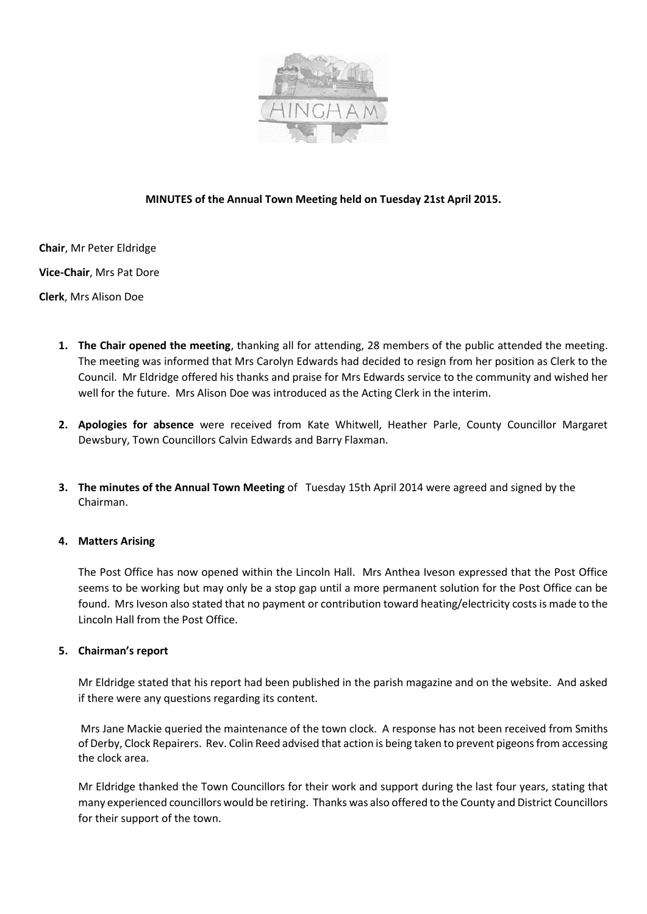

# **MINUTES of the Annual Town Meeting held on Tuesday 21st April 2015.**

**Chair**, Mr Peter Eldridge

**Vice-Chair**, Mrs Pat Dore

**Clerk**, Mrs Alison Doe

- **1. The Chair opened the meeting**, thanking all for attending, 28 members of the public attended the meeting. The meeting was informed that Mrs Carolyn Edwards had decided to resign from her position as Clerk to the Council. Mr Eldridge offered his thanks and praise for Mrs Edwards service to the community and wished her well for the future. Mrs Alison Doe was introduced as the Acting Clerk in the interim.
- **2. Apologies for absence** were received from Kate Whitwell, Heather Parle, County Councillor Margaret Dewsbury, Town Councillors Calvin Edwards and Barry Flaxman.
- **3. The minutes of the Annual Town Meeting** of Tuesday 15th April 2014 were agreed and signed by the Chairman.

## **4. Matters Arising**

The Post Office has now opened within the Lincoln Hall. Mrs Anthea Iveson expressed that the Post Office seems to be working but may only be a stop gap until a more permanent solution for the Post Office can be found. Mrs Iveson also stated that no payment or contribution toward heating/electricity costs is made to the Lincoln Hall from the Post Office.

## **5. Chairman's report**

Mr Eldridge stated that his report had been published in the parish magazine and on the website. And asked if there were any questions regarding its content.

Mrs Jane Mackie queried the maintenance of the town clock. A response has not been received from Smiths of Derby, Clock Repairers. Rev. Colin Reed advised that action is being taken to prevent pigeons from accessing the clock area.

Mr Eldridge thanked the Town Councillors for their work and support during the last four years, stating that many experienced councillors would be retiring. Thanks was also offered to the County and District Councillors for their support of the town.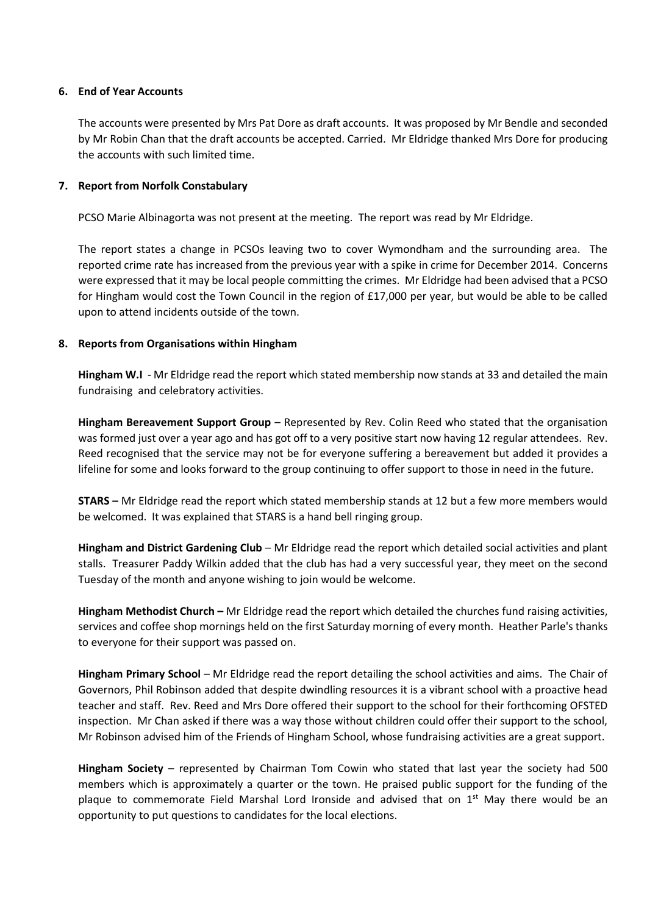## **6. End of Year Accounts**

The accounts were presented by Mrs Pat Dore as draft accounts. It was proposed by Mr Bendle and seconded by Mr Robin Chan that the draft accounts be accepted. Carried. Mr Eldridge thanked Mrs Dore for producing the accounts with such limited time.

## **7. Report from Norfolk Constabulary**

PCSO Marie Albinagorta was not present at the meeting. The report was read by Mr Eldridge.

The report states a change in PCSOs leaving two to cover Wymondham and the surrounding area. The reported crime rate has increased from the previous year with a spike in crime for December 2014. Concerns were expressed that it may be local people committing the crimes. Mr Eldridge had been advised that a PCSO for Hingham would cost the Town Council in the region of £17,000 per year, but would be able to be called upon to attend incidents outside of the town.

#### **8. Reports from Organisations within Hingham**

**Hingham W.I** - Mr Eldridge read the report which stated membership now stands at 33 and detailed the main fundraising and celebratory activities.

**Hingham Bereavement Support Group** – Represented by Rev. Colin Reed who stated that the organisation was formed just over a year ago and has got off to a very positive start now having 12 regular attendees. Rev. Reed recognised that the service may not be for everyone suffering a bereavement but added it provides a lifeline for some and looks forward to the group continuing to offer support to those in need in the future.

**STARS –** Mr Eldridge read the report which stated membership stands at 12 but a few more members would be welcomed. It was explained that STARS is a hand bell ringing group.

**Hingham and District Gardening Club** – Mr Eldridge read the report which detailed social activities and plant stalls. Treasurer Paddy Wilkin added that the club has had a very successful year, they meet on the second Tuesday of the month and anyone wishing to join would be welcome.

**Hingham Methodist Church –** Mr Eldridge read the report which detailed the churches fund raising activities, services and coffee shop mornings held on the first Saturday morning of every month. Heather Parle's thanks to everyone for their support was passed on.

**Hingham Primary School** – Mr Eldridge read the report detailing the school activities and aims. The Chair of Governors, Phil Robinson added that despite dwindling resources it is a vibrant school with a proactive head teacher and staff. Rev. Reed and Mrs Dore offered their support to the school for their forthcoming OFSTED inspection. Mr Chan asked if there was a way those without children could offer their support to the school, Mr Robinson advised him of the Friends of Hingham School, whose fundraising activities are a great support.

**Hingham Society** – represented by Chairman Tom Cowin who stated that last year the society had 500 members which is approximately a quarter or the town. He praised public support for the funding of the plaque to commemorate Field Marshal Lord Ironside and advised that on 1<sup>st</sup> May there would be an opportunity to put questions to candidates for the local elections.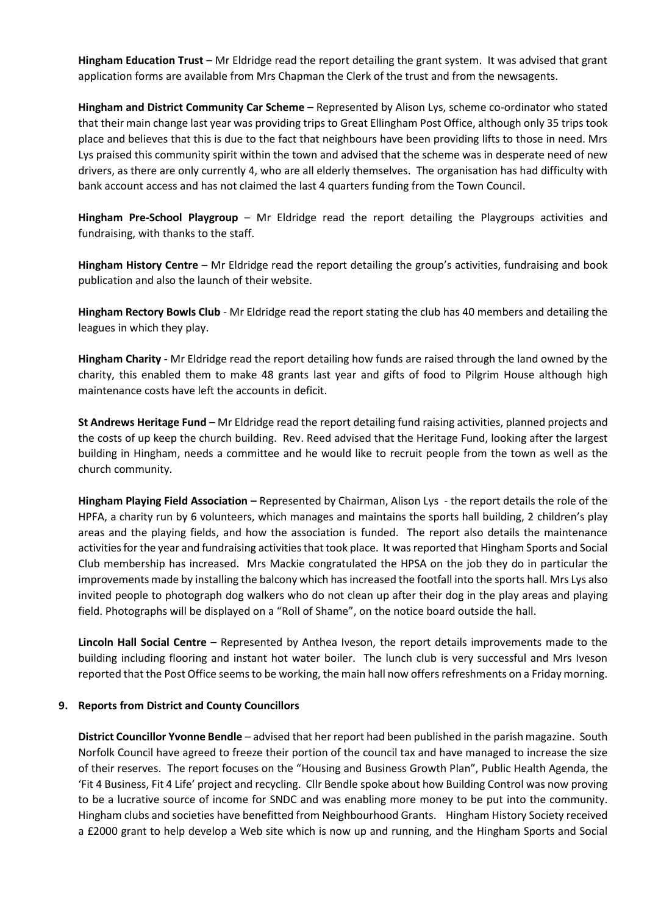**Hingham Education Trust** – Mr Eldridge read the report detailing the grant system. It was advised that grant application forms are available from Mrs Chapman the Clerk of the trust and from the newsagents.

**Hingham and District Community Car Scheme** – Represented by Alison Lys, scheme co-ordinator who stated that their main change last year was providing trips to Great Ellingham Post Office, although only 35 trips took place and believes that this is due to the fact that neighbours have been providing lifts to those in need. Mrs Lys praised this community spirit within the town and advised that the scheme was in desperate need of new drivers, as there are only currently 4, who are all elderly themselves. The organisation has had difficulty with bank account access and has not claimed the last 4 quarters funding from the Town Council.

**Hingham Pre-School Playgroup** – Mr Eldridge read the report detailing the Playgroups activities and fundraising, with thanks to the staff.

**Hingham History Centre** – Mr Eldridge read the report detailing the group's activities, fundraising and book publication and also the launch of their website.

**Hingham Rectory Bowls Club** - Mr Eldridge read the report stating the club has 40 members and detailing the leagues in which they play.

**Hingham Charity -** Mr Eldridge read the report detailing how funds are raised through the land owned by the charity, this enabled them to make 48 grants last year and gifts of food to Pilgrim House although high maintenance costs have left the accounts in deficit.

**St Andrews Heritage Fund** – Mr Eldridge read the report detailing fund raising activities, planned projects and the costs of up keep the church building. Rev. Reed advised that the Heritage Fund, looking after the largest building in Hingham, needs a committee and he would like to recruit people from the town as well as the church community.

**Hingham Playing Field Association –** Represented by Chairman, Alison Lys - the report details the role of the HPFA, a charity run by 6 volunteers, which manages and maintains the sports hall building, 2 children's play areas and the playing fields, and how the association is funded. The report also details the maintenance activities for the year and fundraising activities that took place. It was reported that Hingham Sports and Social Club membership has increased. Mrs Mackie congratulated the HPSA on the job they do in particular the improvements made by installing the balcony which has increased the footfall into the sports hall. Mrs Lys also invited people to photograph dog walkers who do not clean up after their dog in the play areas and playing field. Photographs will be displayed on a "Roll of Shame", on the notice board outside the hall.

**Lincoln Hall Social Centre** – Represented by Anthea Iveson, the report details improvements made to the building including flooring and instant hot water boiler. The lunch club is very successful and Mrs Iveson reported that the Post Office seems to be working, the main hall now offers refreshments on a Friday morning.

## **9. Reports from District and County Councillors**

**District Councillor Yvonne Bendle** – advised that her report had been published in the parish magazine. South Norfolk Council have agreed to freeze their portion of the council tax and have managed to increase the size of their reserves. The report focuses on the "Housing and Business Growth Plan", Public Health Agenda, the 'Fit 4 Business, Fit 4 Life' project and recycling. Cllr Bendle spoke about how Building Control was now proving to be a lucrative source of income for SNDC and was enabling more money to be put into the community. Hingham clubs and societies have benefitted from Neighbourhood Grants. Hingham History Society received a £2000 grant to help develop a Web site which is now up and running, and the Hingham Sports and Social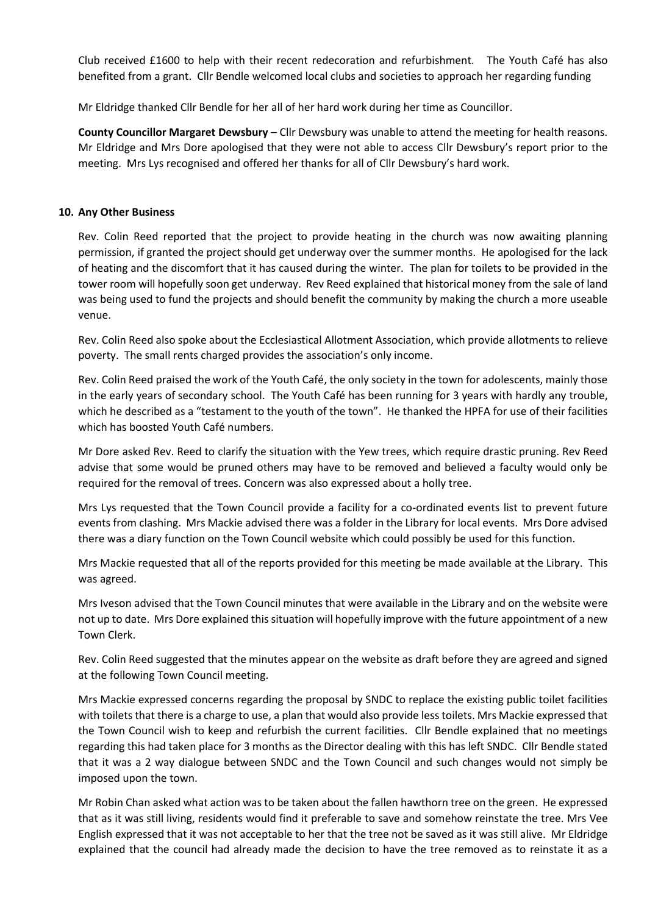Club received £1600 to help with their recent redecoration and refurbishment. The Youth Café has also benefited from a grant. Cllr Bendle welcomed local clubs and societies to approach her regarding funding

Mr Eldridge thanked Cllr Bendle for her all of her hard work during her time as Councillor.

**County Councillor Margaret Dewsbury** – Cllr Dewsbury was unable to attend the meeting for health reasons. Mr Eldridge and Mrs Dore apologised that they were not able to access Cllr Dewsbury's report prior to the meeting. Mrs Lys recognised and offered her thanks for all of Cllr Dewsbury's hard work.

## **10. Any Other Business**

Rev. Colin Reed reported that the project to provide heating in the church was now awaiting planning permission, if granted the project should get underway over the summer months. He apologised for the lack of heating and the discomfort that it has caused during the winter. The plan for toilets to be provided in the tower room will hopefully soon get underway. Rev Reed explained that historical money from the sale of land was being used to fund the projects and should benefit the community by making the church a more useable venue.

Rev. Colin Reed also spoke about the Ecclesiastical Allotment Association, which provide allotments to relieve poverty. The small rents charged provides the association's only income.

Rev. Colin Reed praised the work of the Youth Café, the only society in the town for adolescents, mainly those in the early years of secondary school. The Youth Café has been running for 3 years with hardly any trouble, which he described as a "testament to the youth of the town". He thanked the HPFA for use of their facilities which has boosted Youth Café numbers.

Mr Dore asked Rev. Reed to clarify the situation with the Yew trees, which require drastic pruning. Rev Reed advise that some would be pruned others may have to be removed and believed a faculty would only be required for the removal of trees. Concern was also expressed about a holly tree.

Mrs Lys requested that the Town Council provide a facility for a co-ordinated events list to prevent future events from clashing. Mrs Mackie advised there was a folder in the Library for local events. Mrs Dore advised there was a diary function on the Town Council website which could possibly be used for this function.

Mrs Mackie requested that all of the reports provided for this meeting be made available at the Library. This was agreed.

Mrs Iveson advised that the Town Council minutes that were available in the Library and on the website were not up to date. Mrs Dore explained this situation will hopefully improve with the future appointment of a new Town Clerk.

Rev. Colin Reed suggested that the minutes appear on the website as draft before they are agreed and signed at the following Town Council meeting.

Mrs Mackie expressed concerns regarding the proposal by SNDC to replace the existing public toilet facilities with toilets that there is a charge to use, a plan that would also provide less toilets. Mrs Mackie expressed that the Town Council wish to keep and refurbish the current facilities. Cllr Bendle explained that no meetings regarding this had taken place for 3 months as the Director dealing with this has left SNDC. Cllr Bendle stated that it was a 2 way dialogue between SNDC and the Town Council and such changes would not simply be imposed upon the town.

Mr Robin Chan asked what action was to be taken about the fallen hawthorn tree on the green. He expressed that as it was still living, residents would find it preferable to save and somehow reinstate the tree. Mrs Vee English expressed that it was not acceptable to her that the tree not be saved as it was still alive. Mr Eldridge explained that the council had already made the decision to have the tree removed as to reinstate it as a